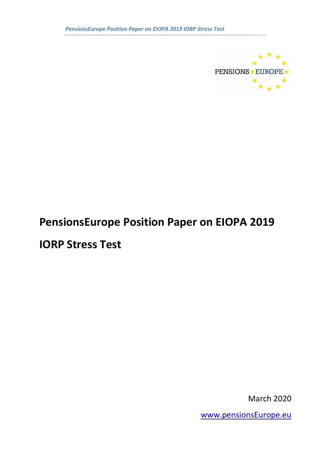

# **PensionsEurope Position Paper on EIOPA 2019**

**IORP Stress Test**

March 2020

[www.pensionsEurope.eu](http://www.pensionseurope.eu/)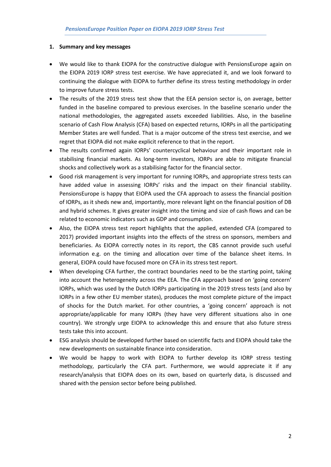## **1. Summary and key messages**

- We would like to thank EIOPA for the constructive dialogue with PensionsEurope again on the EIOPA 2019 IORP stress test exercise. We have appreciated it, and we look forward to continuing the dialogue with EIOPA to further define its stress testing methodology in order to improve future stress tests.
- The results of the 2019 stress test show that the EEA pension sector is, on average, better funded in the baseline compared to previous exercises. In the baseline scenario under the national methodologies, the aggregated assets exceeded liabilities. Also, in the baseline scenario of Cash Flow Analysis (CFA) based on expected returns, IORPs in all the participating Member States are well funded. That is a major outcome of the stress test exercise, and we regret that EIOPA did not make explicit reference to that in the report.
- The results confirmed again IORPs' countercyclical behaviour and their important role in stabilising financial markets. As long-term investors, IORPs are able to mitigate financial shocks and collectively work as a stabilising factor for the financial sector.
- Good risk management is very important for running IORPs, and appropriate stress tests can have added value in assessing IORPs' risks and the impact on their financial stability. PensionsEurope is happy that EIOPA used the CFA approach to assess the financial position of IORPs, as it sheds new and, importantly, more relevant light on the financial position of DB and hybrid schemes. It gives greater insight into the timing and size of cash flows and can be related to economic indicators such as GDP and consumption.
- Also, the EIOPA stress test report highlights that the applied, extended CFA (compared to 2017) provided important insights into the effects of the stress on sponsors, members and beneficiaries. As EIOPA correctly notes in its report, the CBS cannot provide such useful information e.g. on the timing and allocation over time of the balance sheet items. In general, EIOPA could have focused more on CFA in its stress test report.
- When developing CFA further, the contract boundaries need to be the starting point, taking into account the heterogeneity across the EEA. The CFA approach based on 'going concern' IORPs, which was used by the Dutch IORPs participating in the 2019 stress tests (and also by IORPs in a few other EU member states), produces the most complete picture of the impact of shocks for the Dutch market. For other countries, a 'going concern' approach is not appropriate/applicable for many IORPs (they have very different situations also in one country). We strongly urge EIOPA to acknowledge this and ensure that also future stress tests take this into account.
- ESG analysis should be developed further based on scientific facts and EIOPA should take the new developments on sustainable finance into consideration.
- We would be happy to work with EIOPA to further develop its IORP stress testing methodology, particularly the CFA part. Furthermore, we would appreciate it if any research/analysis that EIOPA does on its own, based on quarterly data, is discussed and shared with the pension sector before being published.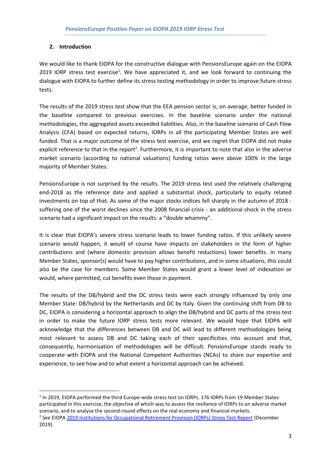## **2. Introduction**

We would like to thank EIOPA for the constructive dialogue with PensionsEurope again on the EIOPA 2019 IORP stress test exercise<sup>1</sup>. We have appreciated it, and we look forward to continuing the dialogue with EIOPA to further define its stress testing methodology in order to improve future stress tests.

The results of the 2019 stress test show that the EEA pension sector is, on average, better funded in the baseline compared to previous exercises. In the baseline scenario under the national methodologies, the aggregated assets exceeded liabilities. Also, in the baseline scenario of Cash Flow Analysis (CFA) based on expected returns, IORPs in all the participating Member States are well funded. That is a major outcome of the stress test exercise, and we regret that EIOPA did not make explicit reference to that in the report<sup>2</sup>. Furthermore, it is important to note that also in the adverse market scenario (according to national valuations) funding ratios were above 100% in the large majority of Member States.

PensionsEurope is not surprised by the results. The 2019 stress test used the relatively challenging end-2018 as the reference date and applied a substantial shock, particularly to equity related investments on top of that. As some of the major stocks indices fell sharply in the autumn of 2018 suffering one of the worst declines since the 2008 financial crisis - an additional shock in the stress scenario had a significant impact on the results: a "double whammy".

It is clear that EIOPA's severe stress scenario leads to lower funding ratios. If this unlikely severe scenario would happen, it would of course have impacts on stakeholders in the form of higher contributions and (where domestic provision allows benefit reductions) lower benefits. In many Member States, sponsor(s) would have to pay higher contributions, and in some situations, this could also be the case for members. Some Member States would grant a lower level of indexation or would, where permitted, cut benefits even those in payment.

The results of the DB/hybrid and the DC stress tests were each strongly influenced by only one Member State: DB/hybrid by the Netherlands and DC by Italy. Given the continuing shift from DB to DC, EIOPA is considering a horizontal approach to align the DB/hybrid and DC parts of the stress test in order to make the future IORP stress tests more relevant. We would hope that EIOPA will acknowledge that the differences between DB and DC will lead to different methodologies being most relevant to assess DB and DC taking each of their specificities into account and that, consequently, harmonisation of methodologies will be difficult. PensionsEurope stands ready to cooperate with EIOPA and the National Competent Authorities (NCAs) to share our expertise and experience, to see how and to what extent a horizontal approach can be achieved.

<sup>1</sup> In 2019, EIOPA performed the third Europe-wide stress test on IORPs. 176 IORPs from 19 Member States participated in this exercise, the objective of which was to assess the resilience of IORPs to an adverse market scenario, and to analyse the second-round effects on the real economy and financial markets. <sup>2</sup> See EIOPA [2019 Institutions for Occupational Retirement Provision \(IORPs\) Stress Test Report](https://www.eiopa.europa.eu/sites/default/files/financial_stability/insurance_stress_test/eiopa_2019_iorp_stress_test_report.pdf) (December

<sup>2019).</sup>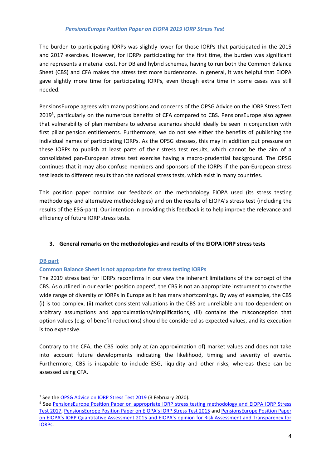The burden to participating IORPs was slightly lower for those IORPs that participated in the 2015 and 2017 exercises. However, for IORPs participating for the first time, the burden was significant and represents a material cost. For DB and hybrid schemes, having to run both the Common Balance Sheet (CBS) and CFA makes the stress test more burdensome. In general, it was helpful that EIOPA gave slightly more time for participating IORPs, even though extra time in some cases was still needed.

PensionsEurope agrees with many positions and concerns of the OPSG Advice on the IORP Stress Test 2019<sup>3</sup>, particularly on the numerous benefits of CFA compared to CBS. PensionsEurope also agrees that vulnerability of plan members to adverse scenarios should ideally be seen in conjunction with first pillar pension entitlements. Furthermore, we do not see either the benefits of publishing the individual names of participating IORPs. As the OPSG stresses, this may in addition put pressure on these IORPs to publish at least parts of their stress test results, which cannot be the aim of a consolidated pan-European stress test exercise having a macro-prudential background. The OPSG continues that it may also confuse members and sponsors of the IORPs if the pan-European stress test leads to different results than the national stress tests, which exist in many countries.

This position paper contains our feedback on the methodology EIOPA used (its stress testing methodology and alternative methodologies) and on the results of EIOPA's stress test (including the results of the ESG-part). Our intention in providing this feedback is to help improve the relevance and efficiency of future IORP stress tests.

## **3. General remarks on the methodologies and results of the EIOPA IORP stress tests**

## **DB part**

## **Common Balance Sheet is not appropriate for stress testing IORPs**

The 2019 stress test for IORPs reconfirms in our view the inherent limitations of the concept of the CBS. As outlined in our earlier position papers<sup>4</sup>, the CBS is not an appropriate instrument to cover the wide range of diversity of IORPs in Europe as it has many shortcomings. By way of examples, the CBS (i) is too complex, (ii) market consistent valuations in the CBS are unreliable and too dependent on arbitrary assumptions and approximations/simplifications, (iii) contains the misconception that option values (e.g. of benefit reductions) should be considered as expected values, and its execution is too expensive.

Contrary to the CFA, the CBS looks only at (an approximation of) market values and does not take into account future developments indicating the likelihood, timing and severity of events. Furthermore, CBS is incapable to include ESG, liquidity and other risks, whereas these can be assessed using CFA.

<sup>&</sup>lt;sup>3</sup> See the **OPSG Advice on IORP Stress Test 2019** (3 February 2020).

<sup>&</sup>lt;sup>4</sup> See **PensionsEurope Position Paper on appropriate IORP stress testing methodology and EIOPA IORP Stress** [Test 2017,](https://www.pensionseurope.eu/system/files/PE%20Position%20Paper%20on%20appropriate%20IORP%20stress%20testing%20methodology%20and%20EIOPA%20IORP%20Stress%20Test%202017%20-%20Final%20-%202018-02-15_1.pdf) [PensionsEurope Position Paper on EI](http://www.pensionseurope.eu/system/files/PE%20Position%20Paper%20on%20EIOPA%20IORP%20Stress%20tests%20-%20final%20-%202016-02-29.pdf)OPA's IORP Stress Test 2015 and [PensionsEurope Position Paper](http://www.pensionseurope.eu/system/files/2016.09.15%20-%20PensionsEurope%20Position%20Paper%20on%20QA%20and%20EIOPA%20opinion.pdf)  [on EIOPA's IORP Quantitative Assessment 2015 and EIOPA's opinion for Risk Assessment and Transparency for](http://www.pensionseurope.eu/system/files/2016.09.15%20-%20PensionsEurope%20Position%20Paper%20on%20QA%20and%20EIOPA%20opinion.pdf)  [IORPs.](http://www.pensionseurope.eu/system/files/2016.09.15%20-%20PensionsEurope%20Position%20Paper%20on%20QA%20and%20EIOPA%20opinion.pdf)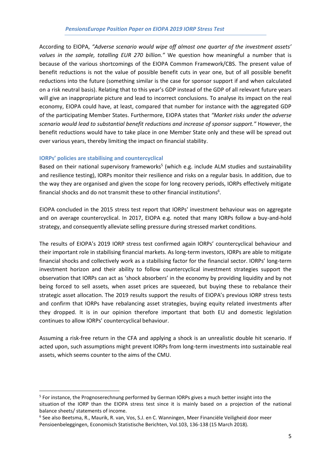According to EIOPA, *"Adverse scenario would wipe off almost one quarter of the investment assets' values in the sample, totalling EUR 270 billion."* We question how meaningful a number that is because of the various shortcomings of the EIOPA Common Framework/CBS. The present value of benefit reductions is not the value of possible benefit cuts in year one, but of all possible benefit reductions into the future (something similar is the case for sponsor support if and when calculated on a risk neutral basis). Relating that to this year's GDP instead of the GDP of all relevant future years will give an inappropriate picture and lead to incorrect conclusions. To analyse its impact on the real economy, EIOPA could have, at least, compared that number for instance with the aggregated GDP of the participating Member States. Furthermore, EIOPA states that *"Market risks under the adverse scenario would lead to substantial benefit reductions and increase of sponsor support."* However, the benefit reductions would have to take place in one Member State only and these will be spread out over various years, thereby limiting the impact on financial stability.

## **IORPs' policies are stabilising and countercyclical**

Based on their national supervisory frameworks<sup>5</sup> (which e.g. include ALM studies and sustainability and resilience testing), IORPs monitor their resilience and risks on a regular basis. In addition, due to the way they are organised and given the scope for long recovery periods, IORPs effectively mitigate financial shocks and do not transmit these to other financial institutions<sup>6</sup>.

EIOPA concluded in the 2015 stress test report that IORPs' investment behaviour was on aggregate and on average countercyclical. In 2017, EIOPA e.g. noted that many IORPs follow a buy-and-hold strategy, and consequently alleviate selling pressure during stressed market conditions.

The results of EIOPA's 2019 IORP stress test confirmed again IORPs' countercyclical behaviour and their important role in stabilising financial markets. As long-term investors, IORPs are able to mitigate financial shocks and collectively work as a stabilising factor for the financial sector. IORPs' long-term investment horizon and their ability to follow countercyclical investment strategies support the observation that IORPs can act as 'shock absorbers' in the economy by providing liquidity and by not being forced to sell assets, when asset prices are squeezed, but buying these to rebalance their strategic asset allocation. The 2019 results support the results of EIOPA's previous IORP stress tests and confirm that IORPs have rebalancing asset strategies, buying equity related investments after they dropped. It is in our opinion therefore important that both EU and domestic legislation continues to allow IORPs' countercyclical behaviour.

Assuming a risk-free return in the CFA and applying a shock is an unrealistic double hit scenario. If acted upon, such assumptions might prevent IORPs from long-term investments into sustainable real assets, which seems counter to the aims of the CMU.

<sup>&</sup>lt;sup>5</sup> For instance, the Prognoserechnung performed by German IORPs gives a much better insight into the situation of the IORP than the EIOPA stress test since it is mainly based on a projection of the national balance sheets/ statements of income.

<sup>6</sup> See also Beetsma, R., Maurik, R. van, Vos, S.J. en C. Wanningen, Meer Financiële Veiligheid door meer Pensioenbeleggingen, Economisch Statistische Berichten, Vol.103, 136-138 (15 March 2018).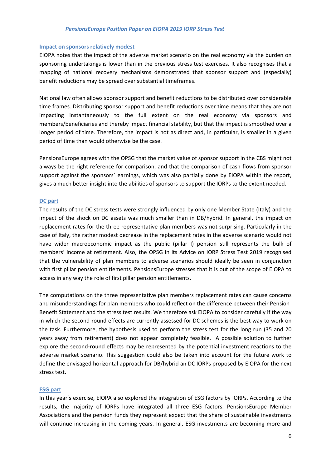#### **Impact on sponsors relatively modest**

EIOPA notes that the impact of the adverse market scenario on the real economy via the burden on sponsoring undertakings is lower than in the previous stress test exercises. It also recognises that a mapping of national recovery mechanisms demonstrated that sponsor support and (especially) benefit reductions may be spread over substantial timeframes.

National law often allows sponsor support and benefit reductions to be distributed over considerable time frames. Distributing sponsor support and benefit reductions over time means that they are not impacting instantaneously to the full extent on the real economy via sponsors and members/beneficiaries and thereby impact financial stability, but that the impact is smoothed over a longer period of time. Therefore, the impact is not as direct and, in particular, is smaller in a given period of time than would otherwise be the case.

PensionsEurope agrees with the OPSG that the market value of sponsor support in the CBS might not always be the right reference for comparison, and that the comparison of cash flows from sponsor support against the sponsors' earnings, which was also partially done by EIOPA within the report, gives a much better insight into the abilities of sponsors to support the IORPs to the extent needed.

#### **DC part**

The results of the DC stress tests were strongly influenced by only one Member State (Italy) and the impact of the shock on DC assets was much smaller than in DB/hybrid. In general, the impact on replacement rates for the three representative plan members was not surprising. Particularly in the case of Italy, the rather modest decrease in the replacement rates in the adverse scenario would not have wider macroeconomic impact as the public (pillar I) pension still represents the bulk of members' income at retirement. Also, the OPSG in its Advice on IORP Stress Test 2019 recognised that the vulnerability of plan members to adverse scenarios should ideally be seen in conjunction with first pillar pension entitlements. PensionsEurope stresses that it is out of the scope of EIOPA to access in any way the role of first pillar pension entitlements.

The computations on the three representative plan members replacement rates can cause concerns and misunderstandings for plan members who could reflect on the difference between their Pension Benefit Statement and the stress test results. We therefore ask EIOPA to consider carefully if the way in which the second-round effects are currently assessed for DC schemes is the best way to work on the task. Furthermore, the hypothesis used to perform the stress test for the long run (35 and 20 years away from retirement) does not appear completely feasible. A possible solution to further explore the second-round effects may be represented by the potential investment reactions to the adverse market scenario. This suggestion could also be taken into account for the future work to define the envisaged horizontal approach for DB/hybrid an DC IORPs proposed by EIOPA for the next stress test.

#### **ESG part**

In this year's exercise, EIOPA also explored the integration of ESG factors by IORPs. According to the results, the majority of IORPs have integrated all three ESG factors. PensionsEurope Member Associations and the pension funds they represent expect that the share of sustainable investments will continue increasing in the coming years. In general, ESG investments are becoming more and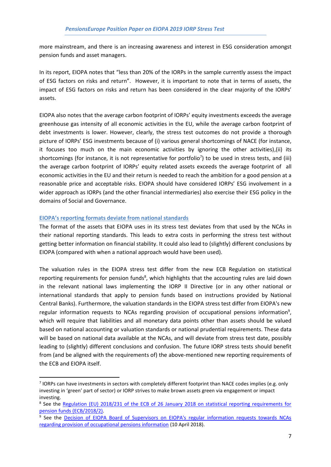more mainstream, and there is an increasing awareness and interest in ESG consideration amongst pension funds and asset managers.

In its report, EIOPA notes that "less than 20% of the IORPs in the sample currently assess the impact of ESG factors on risks and return". However, it is important to note that in terms of assets, the impact of ESG factors on risks and return has been considered in the clear majority of the IORPs' assets.

EIOPA also notes that the average carbon footprint of IORPs' equity investments exceeds the average greenhouse gas intensity of all economic activities in the EU, while the average carbon footprint of debt investments is lower. However, clearly, the stress test outcomes do not provide a thorough picture of IORPs' ESG investments because of (i) various general shortcomings of NACE (for instance, it focuses too much on the main economic activities by ignoring the other activities),(ii) its shortcomings (for instance, it is not representative for portfolio<sup>7</sup>) to be used in stress tests, and (iii) the average carbon footprint of IORPs' equity related assets exceeds the average footprint of all economic activities in the EU and their return is needed to reach the ambition for a good pension at a reasonable price and acceptable risks. EIOPA should have considered IORPs' ESG involvement in a wider approach as IORPs (and the other financial intermediaries) also exercise their ESG policy in the domains of Social and Governance.

## **EIOPA's reporting formats deviate from national standards**

The format of the assets that EIOPA uses in its stress test deviates from that used by the NCAs in their national reporting standards. This leads to extra costs in performing the stress test without getting better information on financial stability. It could also lead to (slightly) different conclusions by EIOPA (compared with when a national approach would have been used).

The valuation rules in the EIOPA stress test differ from the new ECB Regulation on statistical reporting requirements for pension funds<sup>8</sup>, which highlights that the accounting rules are laid down in the relevant national laws implementing the IORP II Directive (or in any other national or international standards that apply to pension funds based on instructions provided by National Central Banks). Furthermore, the valuation standards in the EIOPA stress test differ from EIOPA's new regular information requests to NCAs regarding provision of occupational pensions information<sup>9</sup>, which will require that liabilities and all monetary data points other than assets should be valued based on national accounting or valuation standards or national prudential requirements. These data will be based on national data available at the NCAs, and will deviate from stress test date, possibly leading to (slightly) different conclusions and confusion. The future IORP stress tests should benefit from (and be aligned with the requirements of) the above-mentioned new reporting requirements of the ECB and EIOPA itself.

 $<sup>7</sup>$  IORPs can have investments in sectors with completely different footprint than NACE codes implies (e.g. only</sup> investing in 'green' part of sector) or IORP strives to make brown assets green via engagement or impact investing.

<sup>&</sup>lt;sup>8</sup> See the Regulation (EU) 2018/231 of the ECB of 26 January 2018 on statistical reporting requirements for [pension funds \(ECB/2018/2\).](https://www.ecb.europa.eu/ecb/legal/pdf/celex3a32018r02313aen3atxt.pdf)

<sup>&</sup>lt;sup>9</sup> See the **Decision of EIOPA Board of Supervisors on EIOPA's regular information requests towards NCAs** [regarding provision of occupational pensions information](https://eiopa.europa.eu/Publications/Protocols/Decision%20on%20Consultation%20Paper_EIOPA-CP-17-005.pdf) (10 April 2018).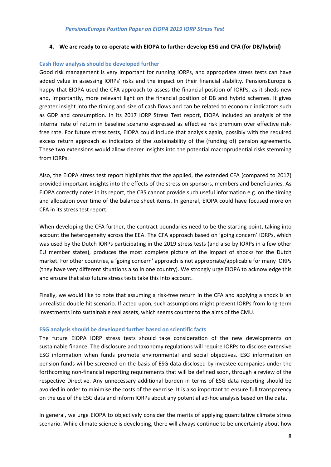## **4. We are ready to co-operate with EIOPA to further develop ESG and CFA (for DB/hybrid)**

## **Cash flow analysis should be developed further**

Good risk management is very important for running IORPs, and appropriate stress tests can have added value in assessing IORPs' risks and the impact on their financial stability. PensionsEurope is happy that EIOPA used the CFA approach to assess the financial position of IORPs, as it sheds new and, importantly, more relevant light on the financial position of DB and hybrid schemes. It gives greater insight into the timing and size of cash flows and can be related to economic indicators such as GDP and consumption. In its 2017 IORP Stress Test report, EIOPA included an analysis of the internal rate of return in baseline scenario expressed as effective risk premium over effective riskfree rate. For future stress tests, EIOPA could include that analysis again, possibly with the required excess return approach as indicators of the sustainability of the (funding of) pension agreements. These two extensions would allow clearer insights into the potential macroprudential risks stemming from IORPs.

Also, the EIOPA stress test report highlights that the applied, the extended CFA (compared to 2017) provided important insights into the effects of the stress on sponsors, members and beneficiaries. As EIOPA correctly notes in its report, the CBS cannot provide such useful information e.g. on the timing and allocation over time of the balance sheet items. In general, EIOPA could have focused more on CFA in its stress test report.

When developing the CFA further, the contract boundaries need to be the starting point, taking into account the heterogeneity across the EEA. The CFA approach based on 'going concern' IORPs, which was used by the Dutch IORPs participating in the 2019 stress tests (and also by IORPs in a few other EU member states), produces the most complete picture of the impact of shocks for the Dutch market. For other countries, a 'going concern' approach is not appropriate/applicable for many IORPs (they have very different situations also in one country). We strongly urge EIOPA to acknowledge this and ensure that also future stress tests take this into account.

Finally, we would like to note that assuming a risk-free return in the CFA and applying a shock is an unrealistic double hit scenario. If acted upon, such assumptions might prevent IORPs from long-term investments into sustainable real assets, which seems counter to the aims of the CMU.

## **ESG analysis should be developed further based on scientific facts**

The future EIOPA IORP stress tests should take consideration of the new developments on sustainable finance. The disclosure and taxonomy regulations will require IORPs to disclose extensive ESG information when funds promote environmental and social objectives. ESG information on pension funds will be screened on the basis of ESG data disclosed by investee companies under the forthcoming non-financial reporting requirements that will be defined soon, through a review of the respective Directive. Any unnecessary additional burden in terms of ESG data reporting should be avoided in order to minimise the costs of the exercise. It is also important to ensure full transparency on the use of the ESG data and inform IORPs about any potential ad-hoc analysis based on the data.

In general, we urge EIOPA to objectively consider the merits of applying quantitative climate stress scenario. While climate science is developing, there will always continue to be uncertainty about how